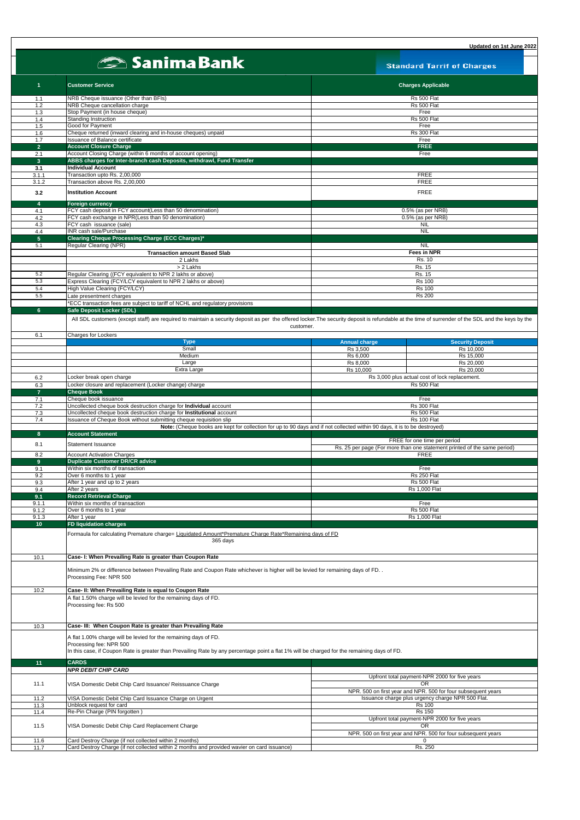|                       | <b>Sanima Bank</b>                                                                                                                                                                                 | <b>Standard Tarrif of Charges</b>                                                                                                        |
|-----------------------|----------------------------------------------------------------------------------------------------------------------------------------------------------------------------------------------------|------------------------------------------------------------------------------------------------------------------------------------------|
| $\blacktriangleleft$  | <b>Customer Service</b>                                                                                                                                                                            | <b>Charges Applicable</b>                                                                                                                |
| 1.1                   | NRB Cheque issuance (Other than BFIs)                                                                                                                                                              | Rs 500 Flat                                                                                                                              |
| 1.2                   | NRB Cheque cancellation charge                                                                                                                                                                     | Rs 500 Flat                                                                                                                              |
| 1.3                   | Stop Payment (in house cheque)                                                                                                                                                                     | Free                                                                                                                                     |
| 1.4<br>1.5            | Standing Instruction<br>Good for Payment                                                                                                                                                           | Rs 500 Flat<br>Free                                                                                                                      |
| 1.6                   | Cheque returned (inward clearing and in-house cheques) unpaid                                                                                                                                      | Rs 300 Flat                                                                                                                              |
| 1.7                   | <b>Issuance of Balance certificate</b>                                                                                                                                                             | Free                                                                                                                                     |
| 2 <sup>1</sup>        | <b>Account Closure Charge</b>                                                                                                                                                                      | <b>FREE</b>                                                                                                                              |
| 2.1<br>3 <sup>1</sup> | Account Closing Charge (within 6 months of account opening)<br>ABBS charges for Inter-branch cash Deposits, withdrawl, Fund Transfer                                                               | Free                                                                                                                                     |
| 3.1                   | <b>Individual Account</b>                                                                                                                                                                          |                                                                                                                                          |
| 3.1.1                 | Transaction upto Rs. 2,00,000                                                                                                                                                                      | <b>FREE</b>                                                                                                                              |
| 3.1.2                 | Transaction above Rs. 2,00,000                                                                                                                                                                     | <b>FREE</b>                                                                                                                              |
| 3.2                   | <b>Institution Account</b>                                                                                                                                                                         | <b>FREE</b>                                                                                                                              |
| 4<br>4.1              | <b>Foreign currency</b><br>FCY cash deposit in FCY account(Less than 50 denomination)                                                                                                              | 0.5% (as per NRB)                                                                                                                        |
| 4.2                   | FCY cash exchange in NPR(Less than 50 denomination)                                                                                                                                                | 0.5% (as per NRB)                                                                                                                        |
| 4.3                   | FCY cash issuance (sale)                                                                                                                                                                           | NIL                                                                                                                                      |
| 4.4<br>5 <sup>1</sup> | INR cash sale/Purchase<br>Clearing Cheque Processing Charge (ECC Charges)*                                                                                                                         | <b>NIL</b>                                                                                                                               |
| 5.1                   | Regular Clearing (NPR)                                                                                                                                                                             | <b>NIL</b>                                                                                                                               |
|                       | <b>Transaction amount Based Slab</b>                                                                                                                                                               | <b>Fees in NPR</b>                                                                                                                       |
|                       | 2 Lakhs                                                                                                                                                                                            | Rs. 10                                                                                                                                   |
|                       | > 2 Lakhs                                                                                                                                                                                          | Rs. 15                                                                                                                                   |
| 5.2<br>5.3            | Regular Clearing ((FCY equivalent to NPR 2 lakhs or above)<br>Express Clearing (FCY/LCY equivalent to NPR 2 lakhs or above)                                                                        | Rs. 15<br><b>Rs 100</b>                                                                                                                  |
| 5.4                   | High Value Clearing (FCY/LCY)                                                                                                                                                                      | <b>Rs 100</b>                                                                                                                            |
| 5.5                   | Late presentment charges                                                                                                                                                                           | <b>Rs 200</b>                                                                                                                            |
|                       | *ECC transaction fees are subject to tariff of NCHL and regulatory provisions                                                                                                                      |                                                                                                                                          |
|                       |                                                                                                                                                                                                    |                                                                                                                                          |
| 6 <sup>°</sup>        | Safe Deposit Locker (SDL)                                                                                                                                                                          |                                                                                                                                          |
|                       | All SDL customers (except staff) are required to maintain a security deposit as per the offered locker. The security deposit is refundable at the time of surrender of the SDL and the keys by the | customer.                                                                                                                                |
| 6.1                   | <b>Charges for Lockers</b>                                                                                                                                                                         |                                                                                                                                          |
|                       | <b>Type</b><br>Small                                                                                                                                                                               | <b>Security Deposit</b><br><b>Annual charge</b><br>Rs 3,500<br>Rs 10,000                                                                 |
|                       | Medium                                                                                                                                                                                             | Rs 6.000<br>Rs 15,000                                                                                                                    |
|                       | Large                                                                                                                                                                                              | Rs 8,000<br>Rs 20,000                                                                                                                    |
|                       | Extra Large                                                                                                                                                                                        | Rs 20,000<br>Rs 10,000                                                                                                                   |
| 6.2                   | Locker break open charge                                                                                                                                                                           | Rs 3,000 plus actual cost of lock replacement.<br>Rs 500 Flat                                                                            |
| 6.3<br>$\overline{7}$ | Locker closure and replacement (Locker change) charge<br><b>Cheque Book</b>                                                                                                                        |                                                                                                                                          |
| 7.1                   | Cheque book issuance                                                                                                                                                                               | Free                                                                                                                                     |
| 7.2                   | Uncollected cheque book destruction charge for Individual account                                                                                                                                  | Rs 300 Flat                                                                                                                              |
| 7.3                   | Uncollected cheque book destruction charge for Institutional account                                                                                                                               | Rs 500 Flat                                                                                                                              |
| 7.4                   | Issuance of Cheque Book without submitting cheque requisition slip                                                                                                                                 | Rs 100 Flat<br>Note: (Cheque books are kept for collection for up to 90 days and if not collected within 90 days, it is to be destroyed) |
| 8                     | <b>Account Statement</b>                                                                                                                                                                           |                                                                                                                                          |
| 8.1                   | <b>Statement Issuance</b>                                                                                                                                                                          | FREE for one time per period<br>Rs. 25 per page (For more than one statement printed of the same period)                                 |
| 8.2                   | <b>Account Activation Charges</b>                                                                                                                                                                  | <b>FREE</b>                                                                                                                              |
| 9 <sup>°</sup>        | <b>Duplicate Customer DR/CR advice</b>                                                                                                                                                             |                                                                                                                                          |
| 9.1                   | Within six months of transaction                                                                                                                                                                   | Free                                                                                                                                     |
| 9.2<br>9.3            | Over 6 months to 1 year<br>After 1 year and up to 2 years                                                                                                                                          | Rs 250 Flat<br>Rs 500 Flat                                                                                                               |
| 9.4                   | After 2 years                                                                                                                                                                                      | Rs 1,000 Flat                                                                                                                            |
| 9.1                   | <b>Record Retrieval Charge</b>                                                                                                                                                                     |                                                                                                                                          |
| 9.1.1                 | Within six months of transaction                                                                                                                                                                   | Free                                                                                                                                     |
| 9.1.2<br>9.1.3        | Over 6 months to 1 year<br>After 1 year                                                                                                                                                            | Rs 500 Flat<br><b>Rs 1,000 Flat</b>                                                                                                      |
| 10 <sub>1</sub>       | FD liquidation charges                                                                                                                                                                             |                                                                                                                                          |
|                       | Formaula for calculating Premature charge= Liquidated Amount*Premature Charge Rate*Remaining days of FD<br>365 days                                                                                |                                                                                                                                          |
| 10.1                  | Case- I: When Prevailing Rate is greater than Coupon Rate                                                                                                                                          |                                                                                                                                          |
|                       | Minimum 2% or difference between Prevailing Rate and Coupon Rate whichever is higher will be levied for remaining days of FD. .<br>Processing Fee: NPR 500                                         |                                                                                                                                          |
| 10.2                  | Case- II: When Prevailing Rate is equal to Coupon Rate                                                                                                                                             |                                                                                                                                          |

| 10.3 | Case- III: When Coupon Rate is greater than Prevailing Rate                                                                                                                                                                                 |                                                               |  |
|------|---------------------------------------------------------------------------------------------------------------------------------------------------------------------------------------------------------------------------------------------|---------------------------------------------------------------|--|
|      | A flat 1.00% charge will be levied for the remaining days of FD.<br>Processing fee: NPR 500<br>In this case, if Coupon Rate is greater than Prevailing Rate by any percentage point a flat 1% will be charged for the remaining days of FD. |                                                               |  |
| 11.  | <b>CARDS</b>                                                                                                                                                                                                                                |                                                               |  |
|      | <b>NPR DEBIT CHIP CARD</b>                                                                                                                                                                                                                  |                                                               |  |
|      |                                                                                                                                                                                                                                             | Upfront total payment-NPR 2000 for five years                 |  |
| 11.1 | VISA Domestic Debit Chip Card Issuance/ Reissuance Charge                                                                                                                                                                                   | OR.                                                           |  |
|      |                                                                                                                                                                                                                                             | NPR. 500 on first year and NPR. 500 for four subsequent years |  |
| 11.2 | VISA Domestic Debit Chip Card Issuance Charge on Urgent                                                                                                                                                                                     | Issuance charge plus urgency charge NPR 500 Flat.             |  |
| 11.3 | Unblock request for card                                                                                                                                                                                                                    | <b>Rs 100</b>                                                 |  |
| 11.4 | Re-Pin Charge (PIN forgotten)                                                                                                                                                                                                               | <b>Rs 150</b>                                                 |  |
|      |                                                                                                                                                                                                                                             | Upfront total payment-NPR 2000 for five years                 |  |
| 11.5 | VISA Domestic Debit Chip Card Replacement Charge                                                                                                                                                                                            | OR.                                                           |  |
|      |                                                                                                                                                                                                                                             | NPR. 500 on first year and NPR. 500 for four subsequent years |  |
| 11.6 | Card Destroy Charge (if not collected within 2 months)                                                                                                                                                                                      |                                                               |  |
| 11.7 | Card Destroy Charge (if not collected within 2 months and provided wavier on card issuance)                                                                                                                                                 | Rs. 250                                                       |  |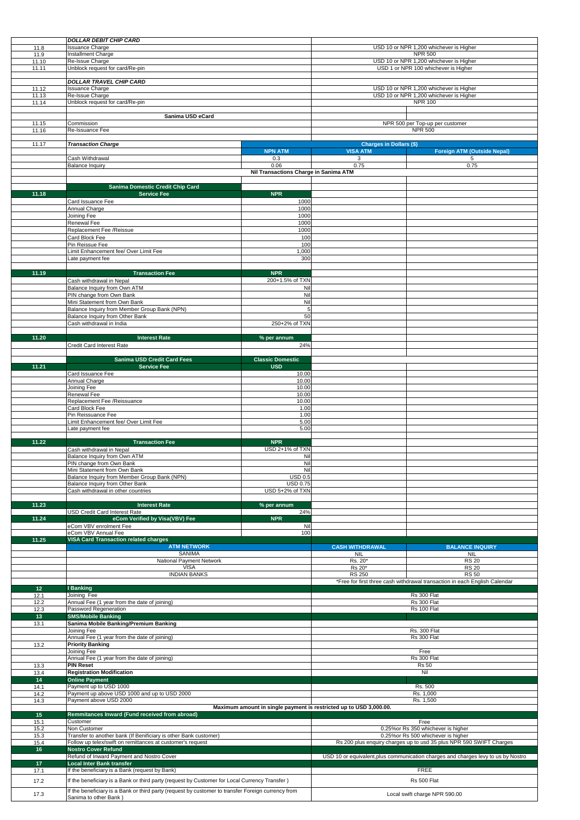|                 | <b>DOLLAR DEBIT CHIP CARD</b>                                                                      |                                       |                                         |                                                                                   |  |
|-----------------|----------------------------------------------------------------------------------------------------|---------------------------------------|-----------------------------------------|-----------------------------------------------------------------------------------|--|
| 11.8            | <b>Issuance Charge</b>                                                                             |                                       | USD 10 or NPR 1,200 whichever is Higher |                                                                                   |  |
| 11.9            | Installment Charge                                                                                 |                                       | <b>NPR 500</b>                          |                                                                                   |  |
| 11.10           | Re-Issue Charge                                                                                    |                                       | USD 10 or NPR 1,200 whichever is Higher |                                                                                   |  |
| 11.11           | Unblock request for card/Re-pin                                                                    |                                       | USD 1 or NPR 100 whichever is Higher    |                                                                                   |  |
|                 | <b>DOLLAR TRAVEL CHIP CARD</b>                                                                     |                                       |                                         |                                                                                   |  |
| 11.12           | <b>Issuance Charge</b>                                                                             |                                       |                                         | USD 10 or NPR 1,200 whichever is Higher                                           |  |
| 11.13           | Re-Issue Charge                                                                                    |                                       | USD 10 or NPR 1,200 whichever is Higher |                                                                                   |  |
| 11.14           | Unblock request for card/Re-pin                                                                    |                                       | <b>NPR 100</b>                          |                                                                                   |  |
|                 |                                                                                                    |                                       |                                         |                                                                                   |  |
|                 | Sanima USD eCard                                                                                   |                                       |                                         |                                                                                   |  |
| 11.15           | Commission                                                                                         |                                       |                                         | NPR 500 per Top-up per customer                                                   |  |
| 11.16           | Re-Issuance Fee                                                                                    |                                       | <b>NPR 500</b>                          |                                                                                   |  |
| 11.17           | <b>Transaction Charge</b>                                                                          |                                       | <b>Charges in Dollars (\$)</b>          |                                                                                   |  |
|                 |                                                                                                    | <b>NPN ATM</b>                        | <b>VISA ATM</b>                         | <b>Foreign ATM (Outside Nepal)</b>                                                |  |
|                 | Cash Withdrawal                                                                                    | 0.3                                   | 3                                       | 5                                                                                 |  |
|                 | <b>Balance Inquiry</b>                                                                             | 0.06                                  | 0.75                                    | 0.75                                                                              |  |
|                 |                                                                                                    | Nil Transactions Charge in Sanima ATM |                                         |                                                                                   |  |
|                 |                                                                                                    |                                       |                                         |                                                                                   |  |
| 11.18           | <b>Sanima Domestic Credit Chip Card</b><br><b>Service Fee</b>                                      | <b>NPR</b>                            |                                         |                                                                                   |  |
|                 | Card Issuance Fee                                                                                  | 1000                                  |                                         |                                                                                   |  |
|                 | Annual Charge                                                                                      | 1000                                  |                                         |                                                                                   |  |
|                 | Joining Fee                                                                                        | 1000                                  |                                         |                                                                                   |  |
|                 | <b>Renewal Fee</b>                                                                                 | 1000                                  |                                         |                                                                                   |  |
|                 | Replacement Fee /Reissue                                                                           | 1000                                  |                                         |                                                                                   |  |
|                 | Card Block Fee                                                                                     | 100                                   |                                         |                                                                                   |  |
|                 | Pin Reissue Fee                                                                                    | 100                                   |                                         |                                                                                   |  |
|                 | Limit Enhancement fee/ Over Limit Fee                                                              | 1,000                                 |                                         |                                                                                   |  |
|                 | Late payment fee                                                                                   | 300                                   |                                         |                                                                                   |  |
| 11.19           | <b>Transaction Fee</b>                                                                             | <b>NPR</b>                            |                                         |                                                                                   |  |
|                 | Cash withdrawal in Nepal                                                                           | 200+1.5% of TXN                       |                                         |                                                                                   |  |
|                 | Balance Inquiry from Own ATM                                                                       | Nil                                   |                                         |                                                                                   |  |
|                 | PIN change from Own Bank                                                                           | Nil                                   |                                         |                                                                                   |  |
|                 | Mini Statement from Own Bank                                                                       | Nil                                   |                                         |                                                                                   |  |
|                 | Balance Inquiry from Member Group Bank (NPN)                                                       | 5                                     |                                         |                                                                                   |  |
|                 | Balance Inquiry from Other Bank                                                                    | 50                                    |                                         |                                                                                   |  |
|                 | Cash withdrawal in India                                                                           | 250+2% of TXN                         |                                         |                                                                                   |  |
|                 |                                                                                                    |                                       |                                         |                                                                                   |  |
| 11.20           | <b>Interest Rate</b>                                                                               | % per annum                           |                                         |                                                                                   |  |
|                 | Credit Card Interest Rate                                                                          | 24%                                   |                                         |                                                                                   |  |
|                 | <b>Sanima USD Credit Card Fees</b>                                                                 | <b>Classic Domestic</b>               |                                         |                                                                                   |  |
| 11.21           | <b>Service Fee</b>                                                                                 | <b>USD</b>                            |                                         |                                                                                   |  |
|                 | Card Issuance Fee                                                                                  | 10.00                                 |                                         |                                                                                   |  |
|                 | Annual Charge                                                                                      | 10.00                                 |                                         |                                                                                   |  |
|                 | Joining Fee                                                                                        | 10.00                                 |                                         |                                                                                   |  |
|                 | Renewal Fee                                                                                        | 10.00                                 |                                         |                                                                                   |  |
|                 | Replacement Fee /Reissuance                                                                        | 10.00                                 |                                         |                                                                                   |  |
|                 | Card Block Fee                                                                                     | 1.00                                  |                                         |                                                                                   |  |
|                 | Pin Reissuance Fee<br>Limit Enhancement fee/ Over Limit Fee                                        | 1.00<br>5.00                          |                                         |                                                                                   |  |
|                 | Late payment fee                                                                                   | 5.00                                  |                                         |                                                                                   |  |
|                 |                                                                                                    |                                       |                                         |                                                                                   |  |
| 11.22           | <b>Transaction Fee</b>                                                                             | <b>NPR</b>                            |                                         |                                                                                   |  |
|                 | Cash withdrawal in Nepal                                                                           | USD 2+1% of TXN                       |                                         |                                                                                   |  |
|                 | Balance Inquiry from Own ATM                                                                       | Nil                                   |                                         |                                                                                   |  |
|                 | PIN change from Own Bank                                                                           | Nil                                   |                                         |                                                                                   |  |
|                 | Mini Statement from Own Bank                                                                       | Nil                                   |                                         |                                                                                   |  |
|                 | Balance Inquiry from Member Group Bank (NPN)<br>Balance Inquiry from Other Bank                    | <b>USD 0.5</b><br><b>USD 0.75</b>     |                                         |                                                                                   |  |
|                 | Cash withdrawal in other countries                                                                 | USD 5+2% of TXN                       |                                         |                                                                                   |  |
|                 |                                                                                                    |                                       |                                         |                                                                                   |  |
| 11.23           | <b>Interest Rate</b>                                                                               | % per annum                           |                                         |                                                                                   |  |
|                 | <b>USD Credit Card Interest Rate</b>                                                               | 24%                                   |                                         |                                                                                   |  |
| 11.24           | eCom Verified by Visa(VBV) Fee                                                                     | <b>NPR</b>                            |                                         |                                                                                   |  |
|                 | eCom VBV enrolment Fee<br>eCom VBV Annual Fee                                                      | Nil                                   |                                         |                                                                                   |  |
| 11.25           | <b>VISA Card Transaction related charges</b>                                                       | 100                                   |                                         |                                                                                   |  |
|                 | <b>ATM NETWORK</b>                                                                                 |                                       | <b>CASH WITHDRAWAL</b>                  | <b>BALANCE INQUIRY</b>                                                            |  |
|                 | <b>SANIMA</b>                                                                                      |                                       | <b>NIL</b>                              | <b>NIL</b>                                                                        |  |
|                 | <b>National Payment Network</b>                                                                    |                                       | Rs. 20*                                 | <b>RS 20</b>                                                                      |  |
|                 | <b>VISA</b>                                                                                        |                                       | Rs 20*                                  | <b>RS 20</b>                                                                      |  |
|                 | <b>INDIAN BANKS</b>                                                                                |                                       | <b>RS 250</b>                           | <b>RS 50</b>                                                                      |  |
| 12 <sup>°</sup> | <b>I</b> Banking                                                                                   |                                       |                                         | *Free for first three cash withdrawal transaction in each English Calendar        |  |
| 12.1            | Joining Fee                                                                                        |                                       |                                         | Rs 300 Flat                                                                       |  |
| 12.2            | Annual Fee (1 year from the date of joining)                                                       |                                       |                                         | Rs 300 Flat                                                                       |  |
| 12.3            | Password Regeneration                                                                              |                                       |                                         | Rs 100 Flat                                                                       |  |
| 13              | <b>SMS/Mobile Banking</b>                                                                          |                                       |                                         |                                                                                   |  |
| 13.1            | Sanima Mobile Banking/Premium Banking                                                              |                                       |                                         |                                                                                   |  |
|                 | Joining Fee                                                                                        |                                       |                                         | <b>Rs. 300 Flat</b>                                                               |  |
|                 | Annual Fee (1 year from the date of joining)                                                       |                                       | Rs 300 Flat                             |                                                                                   |  |
| 13.2            | <b>Priority Banking</b><br>Joining Fee                                                             |                                       |                                         |                                                                                   |  |
|                 | Annual Fee (1 year from the date of joining)                                                       |                                       | Free                                    |                                                                                   |  |
| 13.3            | <b>PIN Reset</b>                                                                                   |                                       | Rs 300 Flat<br><b>Rs 50</b>             |                                                                                   |  |
| 13.4            | <b>Registration Modification</b>                                                                   |                                       |                                         | Nil                                                                               |  |
| 14              | <b>Online Payment</b>                                                                              |                                       |                                         |                                                                                   |  |
| 14.1            | Payment up to USD 1000                                                                             |                                       |                                         | Rs. 500                                                                           |  |
| 14.2            | Payment up above USD 1000 and up to USD 2000                                                       |                                       |                                         | Rs. 1,000                                                                         |  |
| 14.3            | Payment above USD 2000                                                                             |                                       | Rs. 1,500                               |                                                                                   |  |
|                 | Maximum amount in single payment is restricted up to USD 3,000.00.                                 |                                       |                                         |                                                                                   |  |
| 15<br>15.1      | Remmitances Inward (Fund received from abroad)<br>Customer                                         |                                       |                                         | Free                                                                              |  |
| 15.2            | Non Customer                                                                                       |                                       |                                         | 0.25% or Rs 350 whichever is higher                                               |  |
| 15.3            | Transfer to another bank (If Benificiary is other Bank customer)                                   |                                       |                                         | 0.25% or Rs 500 whichever is higher                                               |  |
| 15.4            | Follow up telex/swift on remittances at customer's request                                         |                                       |                                         | Rs 200 plus enquiry charges up to usd 35 plus NPR 590 SWIFT Charges               |  |
| 16              | <b>Nostro Cover Refund</b>                                                                         |                                       |                                         |                                                                                   |  |
|                 | Refund of Inward Payment and Nostro Cover                                                          |                                       |                                         | USD 10 or equivalent, plus communication charges and charges levy to us by Nostro |  |
| 17              | <b>Local Inter Bank transfer</b>                                                                   |                                       |                                         |                                                                                   |  |
| 17.1            | If the beneficiary is a Bank (request by Bank)                                                     |                                       |                                         | <b>FREE</b>                                                                       |  |
| 17.2            | If the beneficiary is a Bank or third party (request by Customer for Local Currency Transfer)      |                                       |                                         | Rs 500 Flat                                                                       |  |
|                 | If the beneficiary is a Bank or third party (request by customer to transfer Foreign currency from |                                       |                                         |                                                                                   |  |
| 17.3            | Sanima to other Bank)                                                                              |                                       |                                         | Local swift charge NPR 590.00                                                     |  |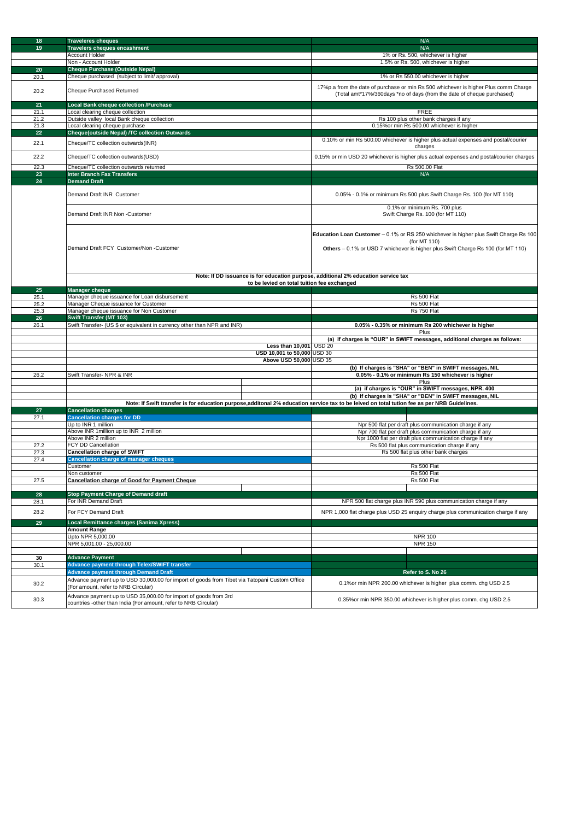| 18              | <b>Traveleres cheques</b>                                                                                                                    | N/A                                                                                                                                                           |  |
|-----------------|----------------------------------------------------------------------------------------------------------------------------------------------|---------------------------------------------------------------------------------------------------------------------------------------------------------------|--|
| 19              | <b>Travelers cheques encashment</b>                                                                                                          | N/A                                                                                                                                                           |  |
|                 | <b>Account Holder</b>                                                                                                                        | 1% or Rs. 500, whichever is higher                                                                                                                            |  |
|                 | Non - Account Holder                                                                                                                         | 1.5% or Rs. 500, whichever is higher                                                                                                                          |  |
|                 |                                                                                                                                              |                                                                                                                                                               |  |
| 20              | <b>Cheque Purchase (Outside Nepal)</b>                                                                                                       |                                                                                                                                                               |  |
| 20.1            | Cheque purchased (subject to limit/ approval)                                                                                                | 1% or Rs 550.00 whichever is higher                                                                                                                           |  |
| 20.2            | Cheque Purchased Returned                                                                                                                    | 17%p.a from the date of purchase or min Rs 500 whichever is higher Plus comm Charge<br>(Total amt*17%/360days *no of days (from the date of cheque purchased) |  |
| 21              | <b>Local Bank cheque collection /Purchase</b>                                                                                                |                                                                                                                                                               |  |
| 21.1            | Local clearing cheque collection                                                                                                             | <b>FREE</b>                                                                                                                                                   |  |
| 21.2            | Outside valley local Bank cheque collection                                                                                                  | Rs 100 plus other bank charges if any                                                                                                                         |  |
| 21.3            | Local clearing cheque purchase                                                                                                               | 0.15% or min Rs 500.00 whichever is higher                                                                                                                    |  |
|                 |                                                                                                                                              |                                                                                                                                                               |  |
| 22 <sub>2</sub> | <b>Cheque(outside Nepal) /TC collection Outwards</b>                                                                                         |                                                                                                                                                               |  |
| 22.1            | Cheque/TC collection outwards(INR)                                                                                                           | 0.10% or min Rs 500.00 whichever is higher plus actual expenses and postal/courier<br>charges                                                                 |  |
| 22.2            | Cheque/TC collection outwards(USD)                                                                                                           | 0.15% or min USD 20 whichever is higher plus actual expenses and postal/courier charges                                                                       |  |
| 22.3            | Cheque/TC collection outwards returned                                                                                                       | Rs 500.00 Flat                                                                                                                                                |  |
| 23              | <b>Inter Branch Fax Transfers</b>                                                                                                            | N/A                                                                                                                                                           |  |
| 24              | <b>Demand Draft</b>                                                                                                                          |                                                                                                                                                               |  |
|                 |                                                                                                                                              |                                                                                                                                                               |  |
|                 | Demand Draft INR Customer                                                                                                                    | 0.05% - 0.1% or minimum Rs 500 plus Swift Charge Rs. 100 (for MT 110)                                                                                         |  |
|                 | Demand Draft INR Non - Customer                                                                                                              | 0.1% or minimum Rs. 700 plus<br>Swift Charge Rs. 100 (for MT 110)                                                                                             |  |
|                 |                                                                                                                                              |                                                                                                                                                               |  |
|                 |                                                                                                                                              | <b>Education Loan Customer</b> - 0.1% or RS 250 whichever is higher plus Swift Charge Rs 100                                                                  |  |
|                 | Demand Draft FCY Customer/Non -Customer                                                                                                      | (for MT 110)<br>Others - 0.1% or USD 7 whichever is higher plus Swift Charge Rs 100 (for MT 110)                                                              |  |
|                 |                                                                                                                                              |                                                                                                                                                               |  |
|                 |                                                                                                                                              |                                                                                                                                                               |  |
|                 | Note: If DD issuance is for education purpose, additional 2% education service tax                                                           |                                                                                                                                                               |  |
|                 | to be levied on total tuition fee exchanged                                                                                                  |                                                                                                                                                               |  |
| 25              | <b>Manager cheque</b>                                                                                                                        |                                                                                                                                                               |  |
| 25.1            | Manager cheque issuance for Loan disbursement                                                                                                | Rs 500 Flat                                                                                                                                                   |  |
| 25.2            | Manager Cheque issuance for Customer                                                                                                         | Rs 500 Flat                                                                                                                                                   |  |
| 25.3            | Manager cheque issuance for Non Customer                                                                                                     | Rs 750 Flat                                                                                                                                                   |  |
| 26              | <b>Swift Transfer (MT 103)</b>                                                                                                               |                                                                                                                                                               |  |
| 26.1            | Swift Transfer- (US \$ or equivalent in currency other than NPR and INR)                                                                     | 0.05% - 0.35% or minimum Rs 200 whichever is higher                                                                                                           |  |
|                 |                                                                                                                                              | Plus                                                                                                                                                          |  |
|                 |                                                                                                                                              | (a) if charges is "OUR" in SWIFT messages, additional charges as follows:                                                                                     |  |
|                 | Less than 10,001 USD 20                                                                                                                      |                                                                                                                                                               |  |
|                 | USD 10,001 to 50,000 USD 30                                                                                                                  |                                                                                                                                                               |  |
|                 | Above USD 50,000 USD 35                                                                                                                      |                                                                                                                                                               |  |
|                 |                                                                                                                                              | (b) If charges is "SHA" or "BEN" in SWIFT messages, NIL                                                                                                       |  |
| 26.2            | Swift Transfer- NPR & INR                                                                                                                    | 0.05% - 0.1% or minimum Rs 150 whichever is higher                                                                                                            |  |
|                 |                                                                                                                                              | Plus                                                                                                                                                          |  |
|                 |                                                                                                                                              | (a) if charges is "OUR" in SWIFT messages, NPR. 400                                                                                                           |  |
|                 |                                                                                                                                              | (b) If charges is "SHA" or "BEN" in SWIFT messages, NIL                                                                                                       |  |
|                 | Note: If Swift transfer is for education purpose, additonal 2% education service tax to be leived on total tution fee as per NRB Guidelines. |                                                                                                                                                               |  |
| 27              | <b>Cancellation charges</b>                                                                                                                  |                                                                                                                                                               |  |
| 27.1            | <b>Cancellation charges for DD</b>                                                                                                           |                                                                                                                                                               |  |
|                 | Up to INR 1 million                                                                                                                          |                                                                                                                                                               |  |
|                 | Above INR 1 million up to INR 2 million                                                                                                      | Npr 500 flat per draft plus communication charge if any<br>Npr 700 flat per draft plus communication charge if any                                            |  |
|                 | Above INR 2 million                                                                                                                          | Npr 1000 flat per draft plus communication charge if any                                                                                                      |  |
|                 |                                                                                                                                              |                                                                                                                                                               |  |
| 27.2            | <b>FCY DD Cancellation</b><br><b>Cancellation charge of SWIFT</b>                                                                            | Rs 500 flat plus communication charge if any<br>Rs 500 flat plus other bank charges                                                                           |  |
| 27.3            |                                                                                                                                              |                                                                                                                                                               |  |
| 27.4            | <b>Cancellation charge of manager cheques</b>                                                                                                |                                                                                                                                                               |  |
|                 | Customer                                                                                                                                     | Rs 500 Flat                                                                                                                                                   |  |
|                 | Non customer                                                                                                                                 | Rs 500 Flat                                                                                                                                                   |  |
| 27.5            | <b>Cancellation charge of Good for Payment Cheque</b>                                                                                        | Rs 500 Flat                                                                                                                                                   |  |
|                 |                                                                                                                                              |                                                                                                                                                               |  |
| 28              | <b>Stop Payment Charge of Demand draft</b>                                                                                                   |                                                                                                                                                               |  |
| 28.1            | For INR Demand Draft                                                                                                                         | NPR 500 flat charge plus INR 590 plus communication charge if any                                                                                             |  |
| 28.2            | For FCY Demand Draft                                                                                                                         | NPR 1,000 flat charge plus USD 25 enquiry charge plus communication charge if any                                                                             |  |
|                 |                                                                                                                                              |                                                                                                                                                               |  |
| 29              | Local Remittance charges (Sanima Xpress)                                                                                                     |                                                                                                                                                               |  |
|                 | <b>Amount Range</b>                                                                                                                          |                                                                                                                                                               |  |
|                 | Upto NPR 5,000.00                                                                                                                            | <b>NPR 100</b>                                                                                                                                                |  |
|                 | NPR 5,001.00 - 25,000.00                                                                                                                     | <b>NPR 150</b>                                                                                                                                                |  |
|                 |                                                                                                                                              |                                                                                                                                                               |  |
| 30              | <b>Advance Payment</b>                                                                                                                       |                                                                                                                                                               |  |
| 30.1            | Advance payment through Telex/SWIFT transfer                                                                                                 |                                                                                                                                                               |  |
|                 | <b>Advance payment through Demand Draft</b>                                                                                                  | Refer to S. No 26                                                                                                                                             |  |
|                 | Advance payment up to USD 30,000.00 for import of goods from Tibet via Tatopani Custom Office                                                | 0.1% or min NPR 200.00 whichever is higher plus comm. chg USD 2.5                                                                                             |  |
| 30.2            |                                                                                                                                              |                                                                                                                                                               |  |
|                 | (For amount, refer to NRB Circular)                                                                                                          |                                                                                                                                                               |  |
|                 |                                                                                                                                              |                                                                                                                                                               |  |
| 30.3            | Advance payment up to USD 35,000.00 for import of goods from 3rd<br>countries -other than India (For amount, refer to NRB Circular)          | 0.35% or min NPR 350.00 whichever is higher plus comm. chg USD 2.5                                                                                            |  |

 $\mathsf{l}$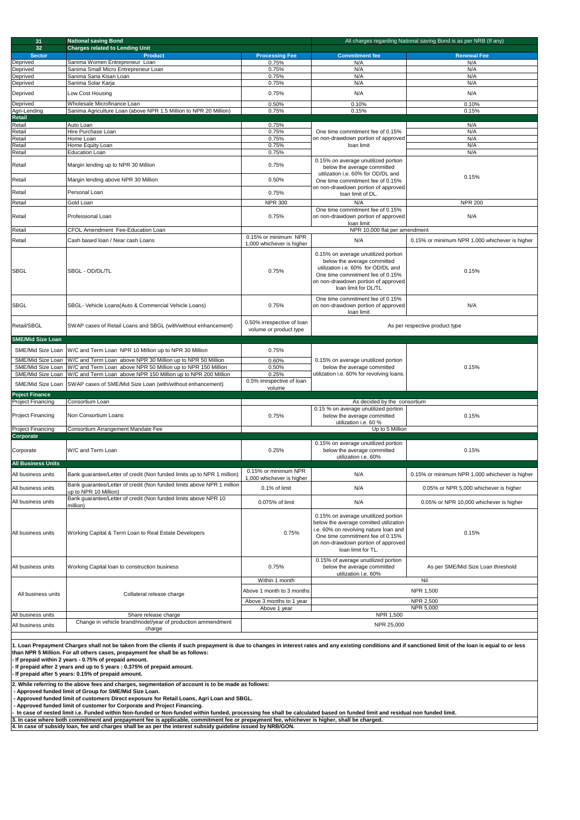| 31                                                                                                                                                                                                                                                                                                                                                                                                                                                                                                                                                                                                                                                                                                                                                                                                                             | <b>National saving Bond</b><br>All charges regarding National saving Bond is as per NRB (If any)<br><b>Charges related to Lending Unit</b>                                 |                                                      |                                                                                                                                                                                                                         |                                                |
|--------------------------------------------------------------------------------------------------------------------------------------------------------------------------------------------------------------------------------------------------------------------------------------------------------------------------------------------------------------------------------------------------------------------------------------------------------------------------------------------------------------------------------------------------------------------------------------------------------------------------------------------------------------------------------------------------------------------------------------------------------------------------------------------------------------------------------|----------------------------------------------------------------------------------------------------------------------------------------------------------------------------|------------------------------------------------------|-------------------------------------------------------------------------------------------------------------------------------------------------------------------------------------------------------------------------|------------------------------------------------|
| 32 <sub>2</sub><br><b>Sector</b>                                                                                                                                                                                                                                                                                                                                                                                                                                                                                                                                                                                                                                                                                                                                                                                               | <b>Product</b>                                                                                                                                                             | <b>Processing Fee</b>                                | <b>Commitment fee</b>                                                                                                                                                                                                   | <b>Renewal Fee</b>                             |
| Deprived                                                                                                                                                                                                                                                                                                                                                                                                                                                                                                                                                                                                                                                                                                                                                                                                                       | Sanima Women Entrepreneur Loan                                                                                                                                             | 0.75%                                                | N/A                                                                                                                                                                                                                     | N/A                                            |
| Deprived<br>Deprived                                                                                                                                                                                                                                                                                                                                                                                                                                                                                                                                                                                                                                                                                                                                                                                                           | Sanima Small Micro Entrepreneur Loan<br>Sanima Sana Kisan Loan                                                                                                             | 0.75%<br>0.75%                                       | N/A<br>N/A                                                                                                                                                                                                              | N/A<br>N/A                                     |
| Deprived                                                                                                                                                                                                                                                                                                                                                                                                                                                                                                                                                                                                                                                                                                                                                                                                                       | Sanima Solar Karja                                                                                                                                                         | 0.75%                                                | N/A                                                                                                                                                                                                                     | N/A                                            |
| Deprived                                                                                                                                                                                                                                                                                                                                                                                                                                                                                                                                                                                                                                                                                                                                                                                                                       | Low Cost Housing                                                                                                                                                           | 0.75%                                                | N/A                                                                                                                                                                                                                     | N/A                                            |
| Deprived                                                                                                                                                                                                                                                                                                                                                                                                                                                                                                                                                                                                                                                                                                                                                                                                                       | Wholesale Microfinance Loan                                                                                                                                                | 0.50%                                                | 0.10%                                                                                                                                                                                                                   | 0.10%                                          |
| Agri-Lending<br><b>Retail</b>                                                                                                                                                                                                                                                                                                                                                                                                                                                                                                                                                                                                                                                                                                                                                                                                  | Sanima Agriculture Loan (above NPR 1.5 Million to NPR 20 Million)                                                                                                          | 0.75%                                                | 0.15%                                                                                                                                                                                                                   | 0.15%                                          |
| Retail                                                                                                                                                                                                                                                                                                                                                                                                                                                                                                                                                                                                                                                                                                                                                                                                                         | Auto Loan                                                                                                                                                                  | 0.75%                                                |                                                                                                                                                                                                                         | N/A                                            |
| Retail                                                                                                                                                                                                                                                                                                                                                                                                                                                                                                                                                                                                                                                                                                                                                                                                                         | Hire Purchase Loan                                                                                                                                                         | 0.75%                                                | One time commitment fee of 0.15%                                                                                                                                                                                        | N/A                                            |
| Retail<br>Retail                                                                                                                                                                                                                                                                                                                                                                                                                                                                                                                                                                                                                                                                                                                                                                                                               | Home Loan<br>Home Equity Loan                                                                                                                                              | 0.75%<br>0.75%                                       | on non-drawdown portion of approved<br>loan limit                                                                                                                                                                       | N/A<br>N/A                                     |
| Retail                                                                                                                                                                                                                                                                                                                                                                                                                                                                                                                                                                                                                                                                                                                                                                                                                         | <b>Education Loan</b>                                                                                                                                                      | 0.75%                                                |                                                                                                                                                                                                                         | N/A                                            |
| Retail                                                                                                                                                                                                                                                                                                                                                                                                                                                                                                                                                                                                                                                                                                                                                                                                                         | Margin lending up to NPR 30 Million                                                                                                                                        | 0.75%                                                | 0.15% on average unutilized portion<br>below the average committed<br>utilization i.e. 60% for OD/DL and                                                                                                                |                                                |
| Retail                                                                                                                                                                                                                                                                                                                                                                                                                                                                                                                                                                                                                                                                                                                                                                                                                         | Margin lending above NPR 30 Million                                                                                                                                        | 0.50%                                                | One time commitment fee of 0.15%<br>on non-drawdown portion of approved                                                                                                                                                 | 0.15%                                          |
| Retail                                                                                                                                                                                                                                                                                                                                                                                                                                                                                                                                                                                                                                                                                                                                                                                                                         | Personal Loan                                                                                                                                                              | 0.75%                                                | loan limit of DL.                                                                                                                                                                                                       |                                                |
| Retail                                                                                                                                                                                                                                                                                                                                                                                                                                                                                                                                                                                                                                                                                                                                                                                                                         | Gold Loan                                                                                                                                                                  | <b>NPR 300</b>                                       | N/A                                                                                                                                                                                                                     | <b>NPR 200</b>                                 |
| Retail                                                                                                                                                                                                                                                                                                                                                                                                                                                                                                                                                                                                                                                                                                                                                                                                                         | Professional Loan                                                                                                                                                          | 0.75%                                                | One time commitment fee of 0.15%<br>on non-drawdown portion of approved<br>loan limit                                                                                                                                   | N/A                                            |
| Retail                                                                                                                                                                                                                                                                                                                                                                                                                                                                                                                                                                                                                                                                                                                                                                                                                         | <b>CFOL Amendment Fee-Education Loan</b>                                                                                                                                   |                                                      | NPR 10,000 flat per amendment                                                                                                                                                                                           |                                                |
| Retail                                                                                                                                                                                                                                                                                                                                                                                                                                                                                                                                                                                                                                                                                                                                                                                                                         | Cash based loan / Near cash Loans                                                                                                                                          | 0.15% or minimum NPR<br>1,000 whichever is higher    | N/A                                                                                                                                                                                                                     | 0.15% or minimum NPR 1,000 whichever is higher |
| <b>SBGL</b>                                                                                                                                                                                                                                                                                                                                                                                                                                                                                                                                                                                                                                                                                                                                                                                                                    | SBGL - OD/DL/TL                                                                                                                                                            | 0.75%                                                | 0.15% on average unutilized portion<br>below the average committed<br>utilization i.e. 60% for OD/DL and<br>One time commitment fee of 0.15%<br>on non-drawdown portion of approved<br>loan limit for DL/TL             | 0.15%                                          |
| <b>SBGL</b>                                                                                                                                                                                                                                                                                                                                                                                                                                                                                                                                                                                                                                                                                                                                                                                                                    | SBGL- Vehicle Loans(Auto & Commercial Vehicle Loans)                                                                                                                       | 0.75%                                                | One time commitment fee of 0.15%<br>on non-drawdown portion of approved<br>loan limit                                                                                                                                   | N/A                                            |
| Retail/SBGL<br><b>SME/Mid Size Loan</b>                                                                                                                                                                                                                                                                                                                                                                                                                                                                                                                                                                                                                                                                                                                                                                                        | SWAP cases of Retail Loans and SBGL (with/without enhancement)                                                                                                             | 0.50% irrespective of loan<br>volume or product type | As per respective product type                                                                                                                                                                                          |                                                |
|                                                                                                                                                                                                                                                                                                                                                                                                                                                                                                                                                                                                                                                                                                                                                                                                                                |                                                                                                                                                                            |                                                      |                                                                                                                                                                                                                         |                                                |
|                                                                                                                                                                                                                                                                                                                                                                                                                                                                                                                                                                                                                                                                                                                                                                                                                                | SME/Mid Size Loan   W/C and Term Loan NPR 10 Million up to NPR 30 Million<br>W/C and Term Loan above NPR 30 Million up to NPR 50 Million                                   | 0.75%                                                |                                                                                                                                                                                                                         |                                                |
| SME/Mid Size Loan<br>SME/Mid Size Loan                                                                                                                                                                                                                                                                                                                                                                                                                                                                                                                                                                                                                                                                                                                                                                                         | SME/Mid Size Loan W/C and Term Loan above NPR 50 Million up to NPR 150 Million<br>W/C and Term Loan above NPR 150 Million up to NPR 200 Million                            | 0.60%<br>0.50%<br>0.25%                              | 0.15% on average unutilized portion<br>below the average committed<br>utilization i.e. 60% for revolving loans.                                                                                                         | 0.15%                                          |
| SME/Mid Size Loan                                                                                                                                                                                                                                                                                                                                                                                                                                                                                                                                                                                                                                                                                                                                                                                                              | SWAP cases of SME/Mid Size Loan (with/without enhancement)                                                                                                                 | 0.5% irrespective of loan<br>volume                  |                                                                                                                                                                                                                         |                                                |
| <b>Poject Finance</b>                                                                                                                                                                                                                                                                                                                                                                                                                                                                                                                                                                                                                                                                                                                                                                                                          |                                                                                                                                                                            |                                                      |                                                                                                                                                                                                                         |                                                |
| <b>Project Financing</b>                                                                                                                                                                                                                                                                                                                                                                                                                                                                                                                                                                                                                                                                                                                                                                                                       | Consortium Loan                                                                                                                                                            |                                                      | As decided by the consortium<br>0.15 % on average unutilized portion                                                                                                                                                    |                                                |
| <b>Project Financing</b>                                                                                                                                                                                                                                                                                                                                                                                                                                                                                                                                                                                                                                                                                                                                                                                                       | Non Consortium Loans                                                                                                                                                       | 0.75%                                                | below the average committed                                                                                                                                                                                             | 0.15%                                          |
| <b>Project Financing</b>                                                                                                                                                                                                                                                                                                                                                                                                                                                                                                                                                                                                                                                                                                                                                                                                       | Consortium Arrangement Mandate Fee                                                                                                                                         |                                                      | utilization i.e. 60 %<br>Up to 5 Million                                                                                                                                                                                |                                                |
| Corporate                                                                                                                                                                                                                                                                                                                                                                                                                                                                                                                                                                                                                                                                                                                                                                                                                      |                                                                                                                                                                            |                                                      |                                                                                                                                                                                                                         |                                                |
| Corporate                                                                                                                                                                                                                                                                                                                                                                                                                                                                                                                                                                                                                                                                                                                                                                                                                      | W/C and Term Loan                                                                                                                                                          | 0.25%                                                | 0.15% on average unutilized portion<br>below the average committed<br>utilization i.e. 60%                                                                                                                              | 0.15%                                          |
| <b>All Business Units</b>                                                                                                                                                                                                                                                                                                                                                                                                                                                                                                                                                                                                                                                                                                                                                                                                      |                                                                                                                                                                            |                                                      |                                                                                                                                                                                                                         |                                                |
| All business units                                                                                                                                                                                                                                                                                                                                                                                                                                                                                                                                                                                                                                                                                                                                                                                                             | Bank guarantee/Letter of credit (Non funded limits up to NPR 1 million)                                                                                                    | 0.15% or minimum NPR<br>1,000 whichever is higher    | N/A                                                                                                                                                                                                                     | 0.15% or minimum NPR 1,000 whichever is higher |
| All business units                                                                                                                                                                                                                                                                                                                                                                                                                                                                                                                                                                                                                                                                                                                                                                                                             | Bank guarantee/Letter of credit (Non funded limits above NPR 1 million                                                                                                     | 0.1% of limit                                        | N/A                                                                                                                                                                                                                     | 0.05% or NPR 5,000 whichever is higher         |
|                                                                                                                                                                                                                                                                                                                                                                                                                                                                                                                                                                                                                                                                                                                                                                                                                                | up to NPR 10 Million)<br>Bank guarantee/Letter of credit (Non funded limits above NPR 10                                                                                   |                                                      |                                                                                                                                                                                                                         |                                                |
| All business units                                                                                                                                                                                                                                                                                                                                                                                                                                                                                                                                                                                                                                                                                                                                                                                                             | million)                                                                                                                                                                   | 0.075% of limit                                      | N/A                                                                                                                                                                                                                     | 0.05% or NPR 10,000 whichever is higher        |
| All business units                                                                                                                                                                                                                                                                                                                                                                                                                                                                                                                                                                                                                                                                                                                                                                                                             | Working Capital & Term Loan to Real Estate Developers                                                                                                                      | 0.75%                                                | 0.15% on average unutilized portion<br>below the average comitted utilization<br>i.e. 60% on revolving nature loan and<br>One time commitment fee of 0.15%<br>on non-drawdown portion of approved<br>loan limit for TL. | 0.15%                                          |
| All business units                                                                                                                                                                                                                                                                                                                                                                                                                                                                                                                                                                                                                                                                                                                                                                                                             | Working Capital loan to construction business                                                                                                                              | 0.75%                                                | 0.15% of average unutilized portion<br>below the average committed<br>utilization i.e. 60%                                                                                                                              | As per SME/Mid Size Loan threshold             |
|                                                                                                                                                                                                                                                                                                                                                                                                                                                                                                                                                                                                                                                                                                                                                                                                                                |                                                                                                                                                                            | Within 1 month                                       |                                                                                                                                                                                                                         | Nil                                            |
| All business units                                                                                                                                                                                                                                                                                                                                                                                                                                                                                                                                                                                                                                                                                                                                                                                                             | Collateral release charge                                                                                                                                                  | Above 1 month to 3 months                            |                                                                                                                                                                                                                         | NPR 1,500                                      |
|                                                                                                                                                                                                                                                                                                                                                                                                                                                                                                                                                                                                                                                                                                                                                                                                                                |                                                                                                                                                                            | Above 3 months to 1 year<br>Above 1 year             |                                                                                                                                                                                                                         | <b>NPR 2,500</b><br><b>NPR 5,000</b>           |
| All business units<br>All business units                                                                                                                                                                                                                                                                                                                                                                                                                                                                                                                                                                                                                                                                                                                                                                                       | Share release charge<br>Change in vehicle brand/model/year of production ammendment<br>charge                                                                              |                                                      | NPR 1,500<br>NPR 25,000                                                                                                                                                                                                 |                                                |
| 1. Loan Prepayment Charges shall not be taken from the clients if such prepayment is due to changes in interest rates and any existing conditions and if sanctioned limit of the loan is equal to or less<br>than NPR 5 Million. For all others cases, prepayment fee shall be as follows:<br>If prepaid within 2 years - 0.75% of prepaid amount.<br>If prepaid after 2 years and up to 5 years : 0.375% of prepaid amount.<br>If prepaid after 5 years: 0.15% of prepaid amount.<br>2. While referring to the above fees and charges, segmentation of account is to be made as follows:<br>- Approved funded limit of Group for SME/Mid Size Loan.<br>- Approved funded limit of customers Direct exposure for Retail Loans, Agri Loan and SBGL.<br>- Approved funded limit of customer for Corporate and Project Financing. |                                                                                                                                                                            |                                                      |                                                                                                                                                                                                                         |                                                |
|                                                                                                                                                                                                                                                                                                                                                                                                                                                                                                                                                                                                                                                                                                                                                                                                                                | In case of nested limit i.e. Funded within Non-funded or Non-funded within funded, processing fee shall be calculated based on funded limit and residual non funded limit. |                                                      |                                                                                                                                                                                                                         |                                                |
| 3. In case where both commitment and prepayment fee is applicable, commitment fee or prepayment fee, whichever is higher, shall be charged.<br>4. In case of subsidy loan, fee and charges shall be as per the interest subsidy guideline issued by NRB/GON.                                                                                                                                                                                                                                                                                                                                                                                                                                                                                                                                                                   |                                                                                                                                                                            |                                                      |                                                                                                                                                                                                                         |                                                |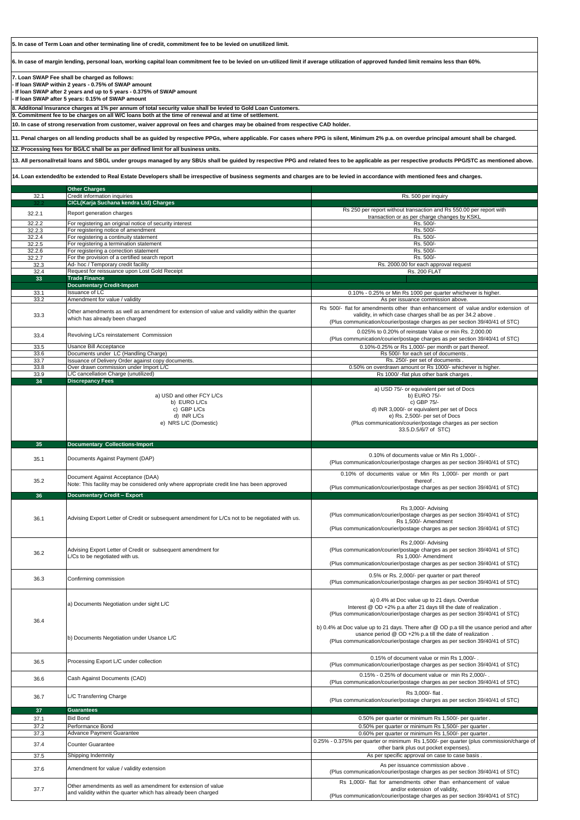**10. In case of strong reservation from customer, waiver approval on fees and charges may be obained from respective CAD holder.**

**11. Penal charges on all lending products shall be as guided by respective PPGs, where applicable. For cases where PPG is silent, Minimum 2% p.a. on overdue principal amount shall be charged.** 

**12. Processing fees for BG/LC shall be as per defined limit for all business units.**

| 36.4 | b) Documents Negotiation under Usance L/C                                                                                      | b) 0.4% at Doc value up to 21 days. There after @ OD p.a till the usance period and after<br>usance period @ OD +2% p.a till the date of realization.<br>(Plus communication/courier/postage charges as per section 39/40/41 of STC) |
|------|--------------------------------------------------------------------------------------------------------------------------------|--------------------------------------------------------------------------------------------------------------------------------------------------------------------------------------------------------------------------------------|
| 36.5 | Processing Export L/C under collection                                                                                         | 0.15% of document value or min Rs 1,000/-.<br>(Plus communication/courier/postage charges as per section 39/40/41 of STC)                                                                                                            |
| 36.6 | Cash Against Documents (CAD)                                                                                                   | 0.15% - 0.25% of document value or min Rs 2,000/-.<br>(Plus communication/courier/postage charges as per section 39/40/41 of STC)                                                                                                    |
| 36.7 | L/C Transferring Charge                                                                                                        | Rs 3,000/- flat.<br>(Plus communication/courier/postage charges as per section 39/40/41 of STC)                                                                                                                                      |
| 37   | <b>Guarantees</b>                                                                                                              |                                                                                                                                                                                                                                      |
| 37.1 | <b>Bid Bond</b>                                                                                                                | 0.50% per quarter or minimum Rs 1,500/- per quarter.                                                                                                                                                                                 |
| 37.2 | Performance Bond                                                                                                               | 0.50% per quarter or minimum Rs 1,500/- per quarter.                                                                                                                                                                                 |
| 37.3 | <b>Advance Payment Guarantee</b>                                                                                               | 0.60% per quarter or minimum Rs 1,500/- per quarter.                                                                                                                                                                                 |
| 37.4 | <b>Counter Guarantee</b>                                                                                                       | 0.25% - 0.375% per quarter or minimum Rs 1,500/- per quarter (plus commission/charge of<br>other bank plus out pocket expenses).                                                                                                     |
| 37.5 | Shipping Indemnity                                                                                                             | As per specific approval on case to case basis.                                                                                                                                                                                      |
| 37.6 | Amendment for value / validity extension                                                                                       | As per issuance commission above.<br>(Plus communication/courier/postage charges as per section 39/40/41 of STC)                                                                                                                     |
| 37.7 | Other amendments as well as amendment for extension of value<br>and validity within the quarter which has already been charged | Rs 1,000/- flat for amendments other than enhancement of value<br>and/or extension of validity,<br>(Plus communication/courier/postage charges as per section 39/40/41 of STC)                                                       |

**9. Commitment fee to be charges on all W/C loans both at the time of renewal and at time of settlement. 8. Additonal Insurance charges at 1% per annum of total security value shall be levied to Gold Loan Customers.**

|        | <b>Other Charges</b>                                                                                                           |                                                                                                                                                                                                                                                  |
|--------|--------------------------------------------------------------------------------------------------------------------------------|--------------------------------------------------------------------------------------------------------------------------------------------------------------------------------------------------------------------------------------------------|
| 32.1   | Credit information inquiries                                                                                                   | Rs. 500 per inquiry                                                                                                                                                                                                                              |
| 32.2   | CICL(Karja Suchana kendra Ltd) Charges                                                                                         |                                                                                                                                                                                                                                                  |
| 32.2.1 | Report generation charges                                                                                                      | Rs 250 per report without transaction and Rs 550.00 per report with<br>transaction or as per charge changes by KSKL                                                                                                                              |
| 32.2.2 | For registering an original notice of security interest                                                                        | Rs. 500/-                                                                                                                                                                                                                                        |
| 32.2.3 | For registering notice of amendment                                                                                            | Rs. 500/-                                                                                                                                                                                                                                        |
|        |                                                                                                                                | Rs. 500/-                                                                                                                                                                                                                                        |
| 32.2.4 | For registering a continuity statement                                                                                         |                                                                                                                                                                                                                                                  |
| 32.2.5 | For registering a termination statement                                                                                        | Rs. 500/-                                                                                                                                                                                                                                        |
| 32.2.6 | For registering a correction statement                                                                                         | Rs. 500/-                                                                                                                                                                                                                                        |
| 32.2.7 | For the provision of a certified search report                                                                                 | Rs. 500/-                                                                                                                                                                                                                                        |
| 32.3   | Ad-hoc / Temporary credit facility                                                                                             | Rs. 2000.00 for each approval request                                                                                                                                                                                                            |
| 32.4   | Request for reissuance upon Lost Gold Receipt                                                                                  | <b>Rs. 200 FLAT</b>                                                                                                                                                                                                                              |
| 33     | <b>Trade Finance</b>                                                                                                           |                                                                                                                                                                                                                                                  |
|        | <b>Documentary Credit-Import</b>                                                                                               |                                                                                                                                                                                                                                                  |
|        |                                                                                                                                |                                                                                                                                                                                                                                                  |
| 33.1   | <b>Issuance of LC</b>                                                                                                          | 0.10% - 0.25% or Min Rs 1000 per quarter whichever is higher.                                                                                                                                                                                    |
| 33.2   | Amendment for value / validity                                                                                                 | As per issuance commission above.                                                                                                                                                                                                                |
| 33.3   | Other amendments as well as amendment for extension of value and validity within the quarter<br>which has already been charged | Rs 500/- flat for amendments other than enhancement of value and/or extension of<br>validity, in which case charges shall be as per 34.2 above.<br>(Plus communication/courier/postage charges as per section 39/40/41 of STC)                   |
| 33.4   | Revolving L/Cs reinstatement Commission                                                                                        | 0.025% to 0.20% of reinstate Value or min Rs. 2,000.00<br>(Plus communication/courier/postage charges as per section 39/40/41 of STC)                                                                                                            |
| 33.5   | Usance Bill Acceptance                                                                                                         | 0.10%-0.25% or Rs 1,000/- per month or part thereof.                                                                                                                                                                                             |
| 33.6   | Documents under LC (Handling Charge)                                                                                           | Rs 500/- for each set of documents.                                                                                                                                                                                                              |
|        |                                                                                                                                |                                                                                                                                                                                                                                                  |
| 33.7   | Issuance of Delivery Order against copy documents.                                                                             | Rs. 250/- per set of documents.                                                                                                                                                                                                                  |
| 33.8   | Over drawn commission under Import L/C                                                                                         | 0.50% on overdrawn amount or Rs 1000/- whichever is higher.                                                                                                                                                                                      |
| 33.9   | L/C cancellation Charge (unutilized)                                                                                           | Rs 1000/-flat plus other bank charges.                                                                                                                                                                                                           |
| 34     | <b>Discrepancy Fees</b>                                                                                                        |                                                                                                                                                                                                                                                  |
|        | a) USD and other FCY L/Cs<br>b) EURO L/Cs<br>c) GBP L/Cs<br>d) INR L/Cs<br>e) NRS L/C (Domestic)                               | a) USD 75/- or equivalent per set of Docs<br>b) EURO 75/-<br>c) GBP 75/-<br>d) INR 3,000/- or equivalent per set of Docs<br>e) Rs. 2,500/- per set of Docs<br>(Plus communication/courier/postage charges as per section<br>33.5.D.5/6/7 of STC) |
| 35     | <b>Documentary Collections-Import</b>                                                                                          |                                                                                                                                                                                                                                                  |
|        |                                                                                                                                |                                                                                                                                                                                                                                                  |
| 35.1   | Documents Against Payment (DAP)                                                                                                | 0.10% of documents value or Min Rs 1,000/-.<br>(Plus communication/courier/postage charges as per section 39/40/41 of STC)                                                                                                                       |
|        |                                                                                                                                | 0.10% of documents value or Min Rs 1,000/- per month or part                                                                                                                                                                                     |
| 35.2   | Document Against Acceptance (DAA)                                                                                              | thereof.                                                                                                                                                                                                                                         |
|        | Note: This facility may be considered only where appropriate credit line has been approved                                     | (Plus communication/courier/postage charges as per section 39/40/41 of STC)                                                                                                                                                                      |
|        |                                                                                                                                |                                                                                                                                                                                                                                                  |
| 36     | <b>Documentary Credit - Export</b>                                                                                             |                                                                                                                                                                                                                                                  |
| 36.1   | Advising Export Letter of Credit or subsequent amendment for L/Cs not to be negotiated with us.                                | Rs 3,000/- Advising<br>(Plus communication/courier/postage charges as per section 39/40/41 of STC)<br>Rs 1.500/- Amendment<br>(Plus communication/courier/postage charges as per section 39/40/41 of STC)                                        |
| 36.2   | Advising Export Letter of Credit or subsequent amendment for<br>L/Cs to be negotiated with us.                                 | Rs 2,000/- Advising<br>(Plus communication/courier/postage charges as per section 39/40/41 of STC)<br>Rs 1,000/- Amendment<br>(Plus communication/courier/postage charges as per section 39/40/41 of STC)                                        |
| 36.3   | Confirming commission                                                                                                          | 0.5% or Rs. 2,000/- per quarter or part thereof<br>(Plus communication/courier/postage charges as per section 39/40/41 of STC)                                                                                                                   |
|        | a) Documents Negotiation under sight L/C                                                                                       | a) 0.4% at Doc value up to 21 days. Overdue<br>Interest @ OD +2% p.a after 21 days till the date of realization.<br>(Plus communication/courier/postage charges as per section 39/40/41 of STC)                                                  |

**7. Loan SWAP Fee shall be charged as follows:**

**- If loan SWAP within 2 years - 0.75% of SWAP amount**

**- If loan SWAP after 2 years and up to 5 years - 0.375% of SWAP amount**

**- If loan SWAP after 5 years: 0.15% of SWAP amount**

**5. In case of Term Loan and other terminating line of credit, commitment fee to be levied on unutilized limit.**

**14. Loan extended/to be extended to Real Estate Developers shall be irrespective of business segments and charges are to be levied in accordance with mentioned fees and charges.**

**6. In case of margin lending, personal loan, working capital loan commitment fee to be levied on un-utilized limit if average utilization of approved funded limit remains less than 60%.**

**13. All personal/retail loans and SBGL under groups managed by any SBUs shall be guided by respective PPG and related fees to be applicable as per respective products PPG/STC as mentioned above.**